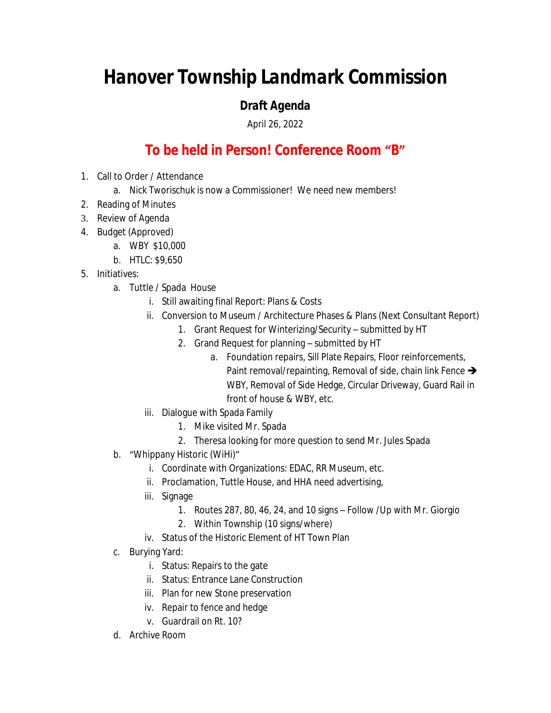## *Hanover Township Landmark Commission*

## *Draft Agenda*

April 26, 2022

## **To be held in Person! Conference Room "B"**

- 1. Call to Order / Attendance
	- a. Nick Tworischuk is now a Commissioner! We need new members!
- 2. Reading of Minutes
- 3. Review of Agenda
- 4. Budget (Approved)
	- a. WBY \$10,000
	- b. HTLC: \$9,650
- 5. Initiatives:
	- a. Tuttle / Spada House
		- i. Still awaiting final Report: Plans & Costs
		- ii. Conversion to Museum / Architecture Phases & Plans (Next Consultant Report)
			- 1. Grant Request for Winterizing/Security submitted by HT
			- 2. Grand Request for planning submitted by HT
				- a. Foundation repairs, Sill Plate Repairs, Floor reinforcements, Paint removal/repainting, Removal of side, chain link Fence  $\rightarrow$ WBY, Removal of Side Hedge, Circular Driveway, Guard Rail in front of house & WBY, etc.
		- iii. Dialogue with Spada Family
			- 1. Mike visited Mr. Spada
			- 2. Theresa looking for more question to send Mr. Jules Spada
	- b. "Whippany Historic (WiHi)"
		- i. Coordinate with Organizations: EDAC, RR Museum, etc.
		- ii. Proclamation, Tuttle House, and HHA need advertising,
		- iii. Signage
			- 1. Routes 287, 80, 46, 24, and 10 signs Follow /Up with Mr. Giorgio
			- 2. Within Township (10 signs/where)
		- iv. Status of the Historic Element of HT Town Plan
	- c. Burying Yard:
		- i. Status: Repairs to the gate
		- ii. Status: Entrance Lane Construction
		- iii. Plan for new Stone preservation
		- iv. Repair to fence and hedge
		- v. Guardrail on Rt. 10?
	- d. Archive Room